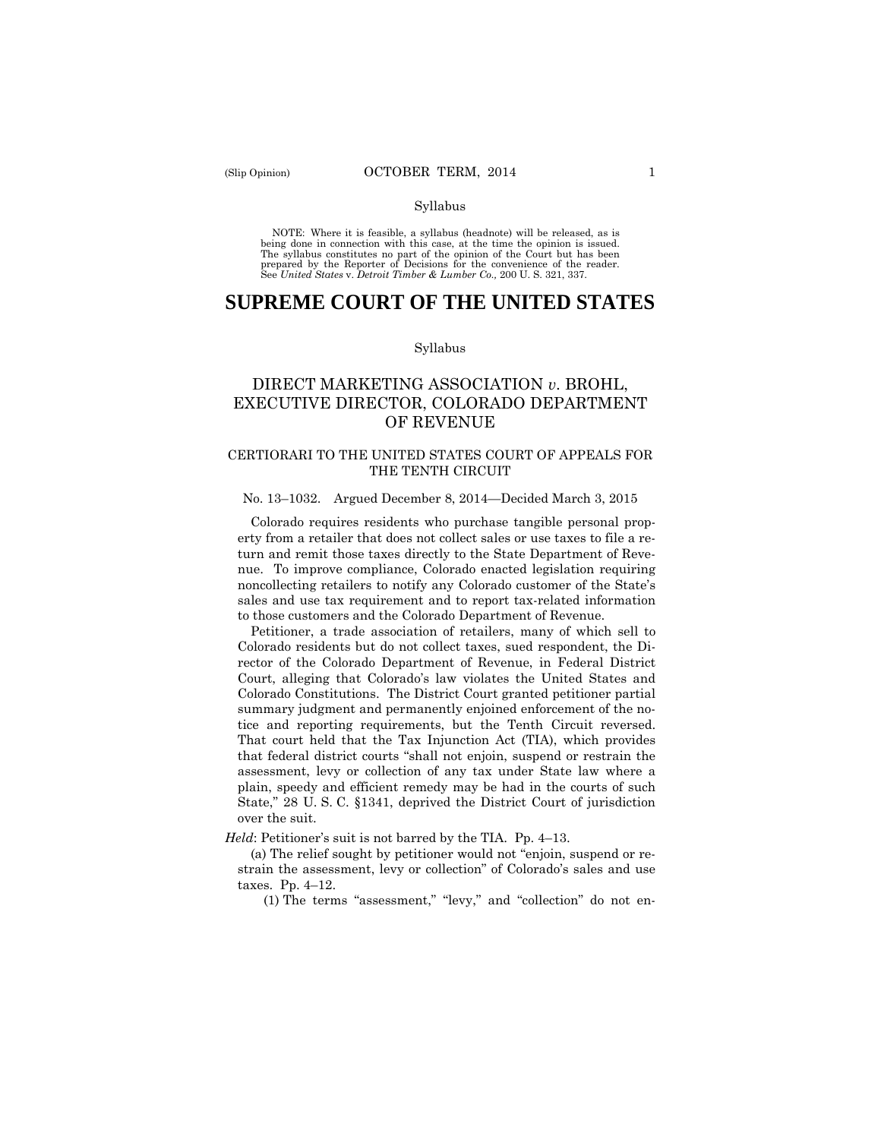#### Syllabus

 NOTE: Where it is feasible, a syllabus (headnote) will be released, as is being done in connection with this case, at the time the opinion is issued. The syllabus constitutes no part of the opinion of the Court but has been<br>prepared by the Reporter of Decisions for the convenience of the reader.<br>See United States v. Detroit Timber & Lumber Co., 200 U. S. 321, 337.

# **SUPREME COURT OF THE UNITED STATES**

#### Syllabus

## DIRECT MARKETING ASSOCIATION *v*. BROHL, EXECUTIVE DIRECTOR, COLORADO DEPARTMENT OF REVENUE

## CERTIORARI TO THE UNITED STATES COURT OF APPEALS FOR THE TENTH CIRCUIT

#### No. 13–1032. Argued December 8, 2014—Decided March 3, 2015

Colorado requires residents who purchase tangible personal property from a retailer that does not collect sales or use taxes to file a return and remit those taxes directly to the State Department of Revenue. To improve compliance, Colorado enacted legislation requiring noncollecting retailers to notify any Colorado customer of the State's sales and use tax requirement and to report tax-related information to those customers and the Colorado Department of Revenue.

Petitioner, a trade association of retailers, many of which sell to Colorado residents but do not collect taxes, sued respondent, the Director of the Colorado Department of Revenue, in Federal District Court, alleging that Colorado's law violates the United States and Colorado Constitutions. The District Court granted petitioner partial summary judgment and permanently enjoined enforcement of the notice and reporting requirements, but the Tenth Circuit reversed. That court held that the Tax Injunction Act (TIA), which provides that federal district courts "shall not enjoin, suspend or restrain the assessment, levy or collection of any tax under State law where a plain, speedy and efficient remedy may be had in the courts of such State," 28 U. S. C. §1341, deprived the District Court of jurisdiction over the suit.

*Held*: Petitioner's suit is not barred by the TIA. Pp. 4–13.

(a) The relief sought by petitioner would not "enjoin, suspend or restrain the assessment, levy or collection" of Colorado's sales and use taxes. Pp. 4–12.

(1) The terms "assessment," "levy," and "collection" do not en-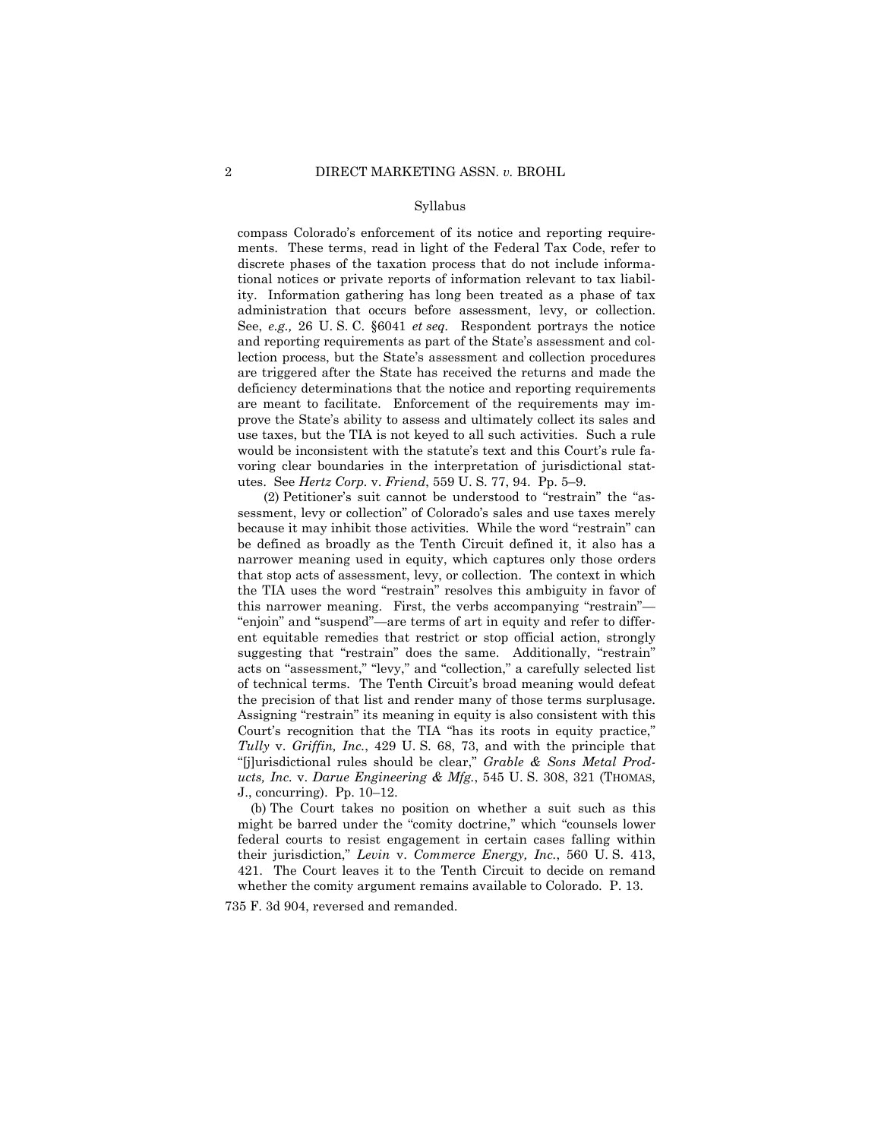#### Syllabus

administration that occurs before assessment, levy, or collection. compass Colorado's enforcement of its notice and reporting requirements. These terms, read in light of the Federal Tax Code, refer to discrete phases of the taxation process that do not include informational notices or private reports of information relevant to tax liability. Information gathering has long been treated as a phase of tax See, *e.g.*, 26 U. S. C. §6041 *et seq.* Respondent portrays the notice and reporting requirements as part of the State's assessment and collection process, but the State's assessment and collection procedures are triggered after the State has received the returns and made the deficiency determinations that the notice and reporting requirements are meant to facilitate. Enforcement of the requirements may improve the State's ability to assess and ultimately collect its sales and use taxes, but the TIA is not keyed to all such activities. Such a rule would be inconsistent with the statute's text and this Court's rule favoring clear boundaries in the interpretation of jurisdictional statutes. See *Hertz Corp.* v. *Friend*, 559 U. S. 77, 94. Pp. 5–9.

(2) Petitioner's suit cannot be understood to "restrain" the "assessment, levy or collection" of Colorado's sales and use taxes merely because it may inhibit those activities. While the word "restrain" can be defined as broadly as the Tenth Circuit defined it, it also has a narrower meaning used in equity, which captures only those orders that stop acts of assessment, levy, or collection. The context in which the TIA uses the word "restrain" resolves this ambiguity in favor of this narrower meaning. First, the verbs accompanying "restrain"— "enjoin" and "suspend"—are terms of art in equity and refer to different equitable remedies that restrict or stop official action, strongly suggesting that "restrain" does the same. Additionally, "restrain" acts on "assessment," "levy," and "collection," a carefully selected list of technical terms. The Tenth Circuit's broad meaning would defeat the precision of that list and render many of those terms surplusage. Assigning "restrain" its meaning in equity is also consistent with this Court's recognition that the TIA "has its roots in equity practice," *Tully* v. *Griffin, Inc.*, 429 U. S. 68, 73, and with the principle that "[j]urisdictional rules should be clear," *Grable & Sons Metal Products, Inc.* v. *Darue Engineering & Mfg.*, 545 U. S. 308, 321 (THOMAS, J., concurring). Pp. 10–12.

 421. The Court leaves it to the Tenth Circuit to decide on remand (b) The Court takes no position on whether a suit such as this might be barred under the "comity doctrine," which "counsels lower federal courts to resist engagement in certain cases falling within their jurisdiction," *Levin* v. *Commerce Energy, Inc.*, 560 U. S. 413, whether the comity argument remains available to Colorado. P. 13.

735 F. 3d 904, reversed and remanded.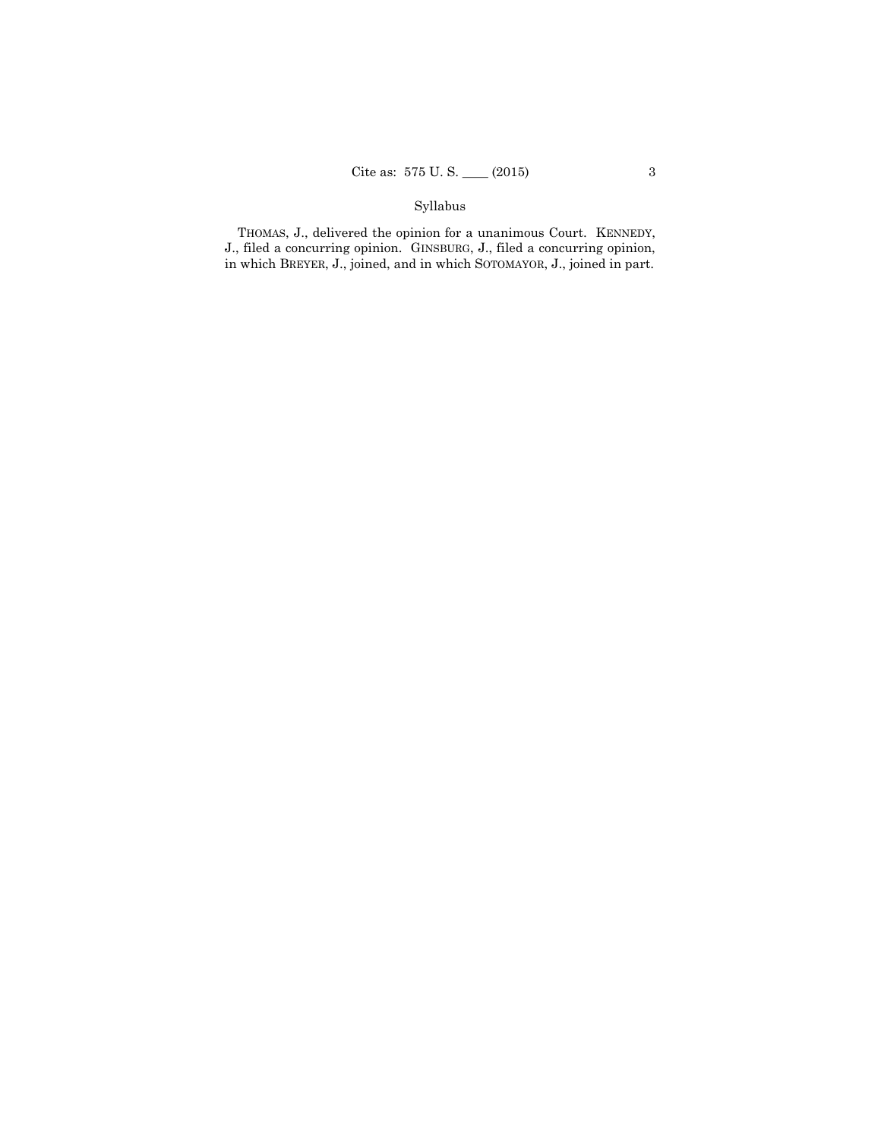## Syllabus

 THOMAS, J., delivered the opinion for a unanimous Court. KENNEDY, J., filed a concurring opinion. GINSBURG, J., filed a concurring opinion, in which BREYER, J., joined, and in which SOTOMAYOR, J., joined in part.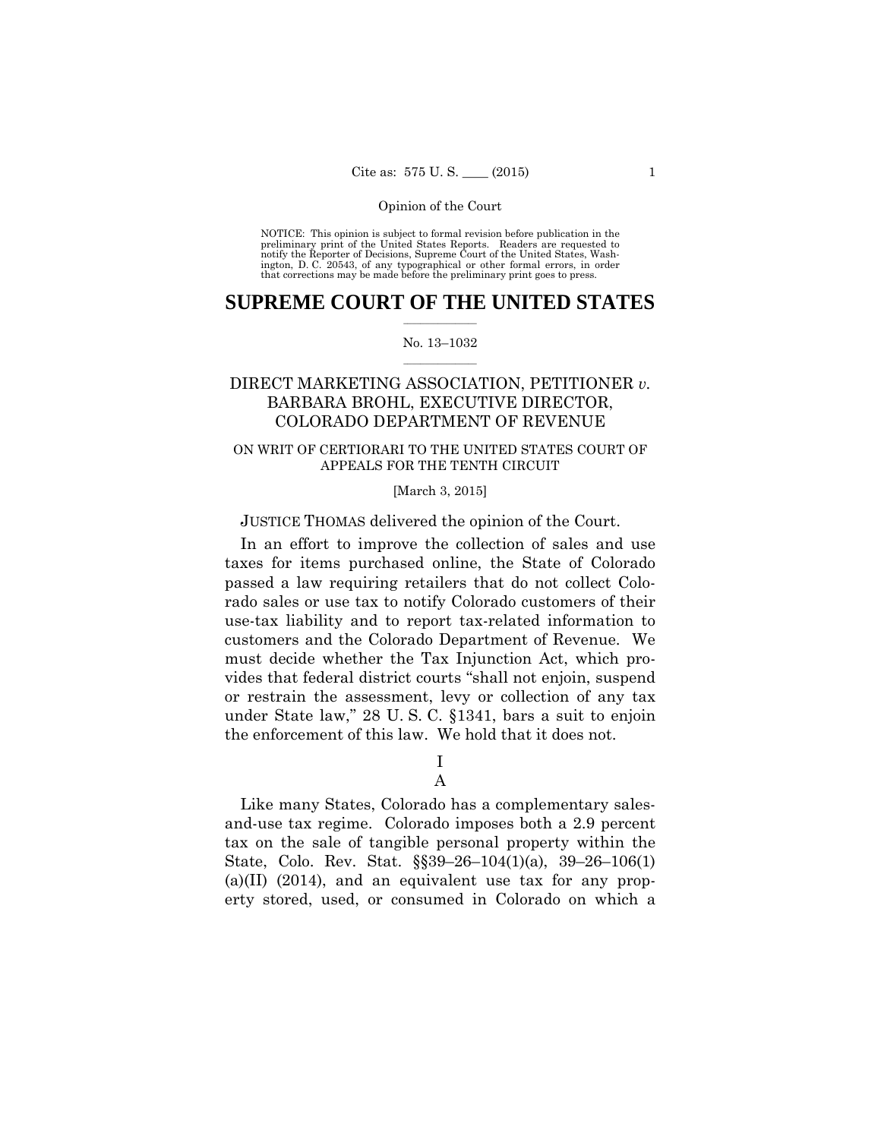preliminary print of the United States Reports. Readers are requested to notify the Reporter of Decisions, Supreme Court of the United States, Wash- ington, D. C. 20543, of any typographical or other formal errors, in order that corrections may be made before the preliminary print goes to press. NOTICE: This opinion is subject to formal revision before publication in the

## $\frac{1}{2}$  , where  $\frac{1}{2}$ **SUPREME COURT OF THE UNITED STATES**

#### $\frac{1}{2}$  ,  $\frac{1}{2}$  ,  $\frac{1}{2}$  ,  $\frac{1}{2}$  ,  $\frac{1}{2}$  ,  $\frac{1}{2}$ No. 13–1032

## DIRECT MARKETING ASSOCIATION, PETITIONER *v.*  BARBARA BROHL, EXECUTIVE DIRECTOR, COLORADO DEPARTMENT OF REVENUE

## ON WRIT OF CERTIORARI TO THE UNITED STATES COURT OF APPEALS FOR THE TENTH CIRCUIT

### [March 3, 2015]

JUSTICE THOMAS delivered the opinion of the Court.

In an effort to improve the collection of sales and use taxes for items purchased online, the State of Colorado passed a law requiring retailers that do not collect Colorado sales or use tax to notify Colorado customers of their use-tax liability and to report tax-related information to customers and the Colorado Department of Revenue. We must decide whether the Tax Injunction Act, which provides that federal district courts "shall not enjoin, suspend or restrain the assessment, levy or collection of any tax under State law," 28 U. S. C. §1341, bars a suit to enjoin the enforcement of this law. We hold that it does not.

> I A

 State, Colo. Rev. Stat. §§39–26–104(1)(a), 39–26–106(1) Like many States, Colorado has a complementary salesand-use tax regime. Colorado imposes both a 2.9 percent tax on the sale of tangible personal property within the (a)(II)  $(2014)$ , and an equivalent use tax for any property stored, used, or consumed in Colorado on which a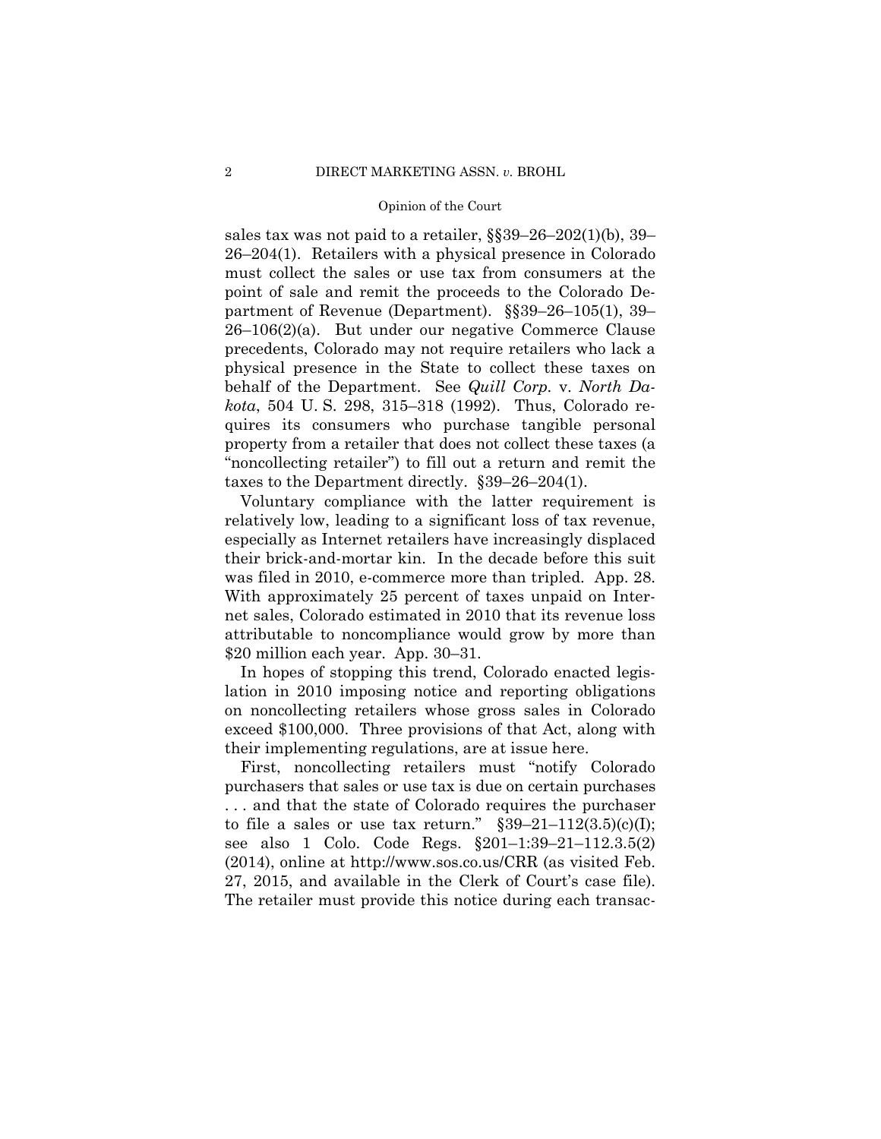sales tax was not paid to a retailer, §§39–26–202(1)(b), 39– 26–204(1). Retailers with a physical presence in Colorado must collect the sales or use tax from consumers at the point of sale and remit the proceeds to the Colorado Department of Revenue (Department). §§39–26–105(1), 39– 26–106(2)(a). But under our negative Commerce Clause precedents, Colorado may not require retailers who lack a physical presence in the State to collect these taxes on behalf of the Department. See *Quill Corp.* v. *North Dakota*, 504 U. S. 298, 315–318 (1992). Thus, Colorado requires its consumers who purchase tangible personal property from a retailer that does not collect these taxes (a "noncollecting retailer") to fill out a return and remit the taxes to the Department directly. §39–26–204(1).

Voluntary compliance with the latter requirement is relatively low, leading to a significant loss of tax revenue, especially as Internet retailers have increasingly displaced their brick-and-mortar kin. In the decade before this suit was filed in 2010, e-commerce more than tripled. App. 28. With approximately 25 percent of taxes unpaid on Internet sales, Colorado estimated in 2010 that its revenue loss attributable to noncompliance would grow by more than \$20 million each year. App. 30–31.

In hopes of stopping this trend, Colorado enacted legislation in 2010 imposing notice and reporting obligations on noncollecting retailers whose gross sales in Colorado exceed \$100,000. Three provisions of that Act, along with their implementing regulations, are at issue here.

First, noncollecting retailers must "notify Colorado purchasers that sales or use tax is due on certain purchases . . . and that the state of Colorado requires the purchaser to file a sales or use tax return."  $\S 39-21-112(3.5)(c)(I);$ see also 1 Colo. Code Regs. §201–1:39–21–112.3.5(2) (2014), online at http://www.sos.co.us/CRR (as visited Feb. 27, 2015, and available in the Clerk of Court's case file). The retailer must provide this notice during each transac-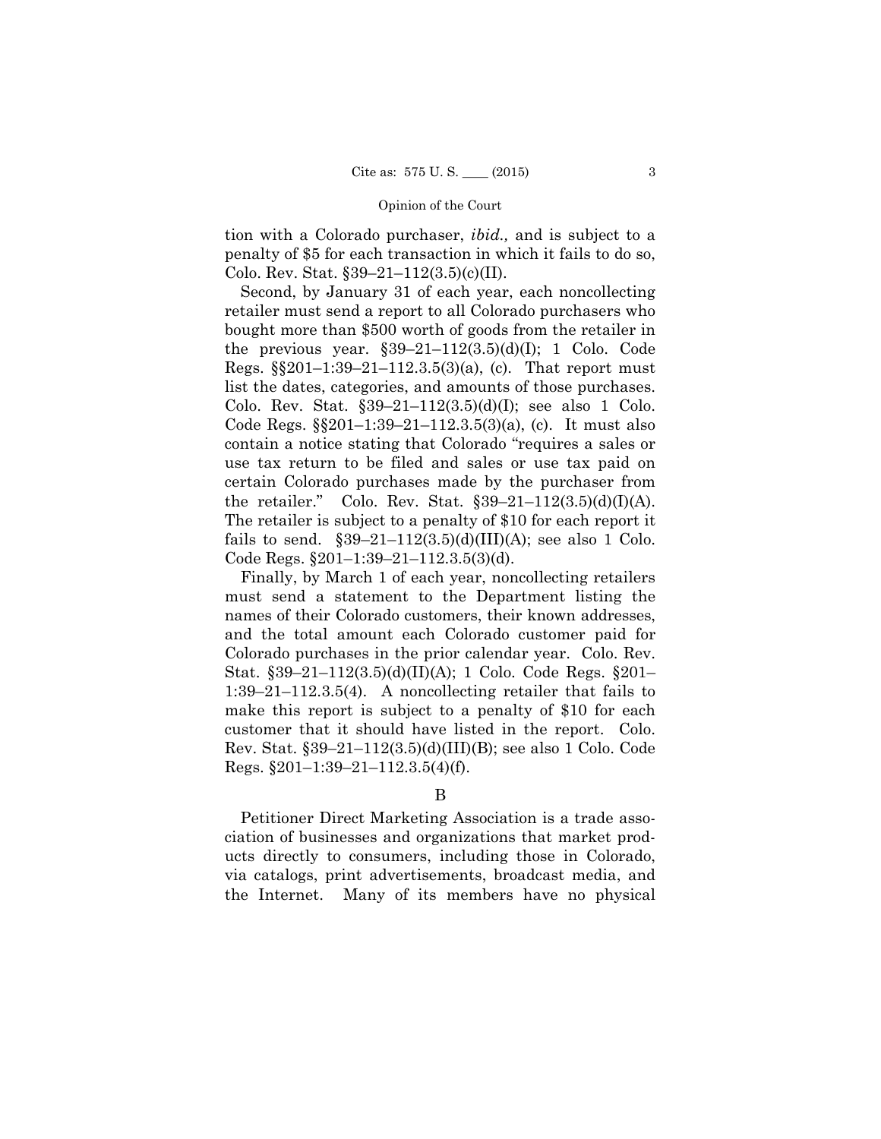tion with a Colorado purchaser, *ibid.,* and is subject to a penalty of \$5 for each transaction in which it fails to do so, Colo. Rev. Stat.  $$39-21-112(3.5)(c)(II)$ .

Second, by January 31 of each year, each noncollecting retailer must send a report to all Colorado purchasers who bought more than \$500 worth of goods from the retailer in the previous year.  $$39-21-112(3.5)(d)(I); 1 Colo. Code$ Regs. §§201–1:39–21–112.3.5(3)(a), (c). That report must list the dates, categories, and amounts of those purchases. Colo. Rev. Stat.  $$39-21-112(3.5)(d)(I);$  see also 1 Colo. Code Regs. §§201–1:39–21–112.3.5(3)(a), (c). It must also contain a notice stating that Colorado "requires a sales or use tax return to be filed and sales or use tax paid on certain Colorado purchases made by the purchaser from the retailer." Colo. Rev. Stat.  $§39-21-112(3.5)(d)(I)(A)$ . The retailer is subject to a penalty of \$10 for each report it fails to send.  $$39-21-112(3.5)(d)(III)(A);$  see also 1 Colo. Code Regs. §201–1:39–21–112.3.5(3)(d).

Finally, by March 1 of each year, noncollecting retailers must send a statement to the Department listing the names of their Colorado customers, their known addresses, and the total amount each Colorado customer paid for Colorado purchases in the prior calendar year. Colo. Rev. Stat. §39–21–112(3.5)(d)(II)(A); 1 Colo. Code Regs. §201– 1:39–21–112.3.5(4). A noncollecting retailer that fails to make this report is subject to a penalty of \$10 for each customer that it should have listed in the report. Colo. Rev. Stat. §39–21–112(3.5)(d)(III)(B); see also 1 Colo. Code Regs. §201–1:39–21–112.3.5(4)(f).

Petitioner Direct Marketing Association is a trade association of businesses and organizations that market products directly to consumers, including those in Colorado, via catalogs, print advertisements, broadcast media, and the Internet. Many of its members have no physical

B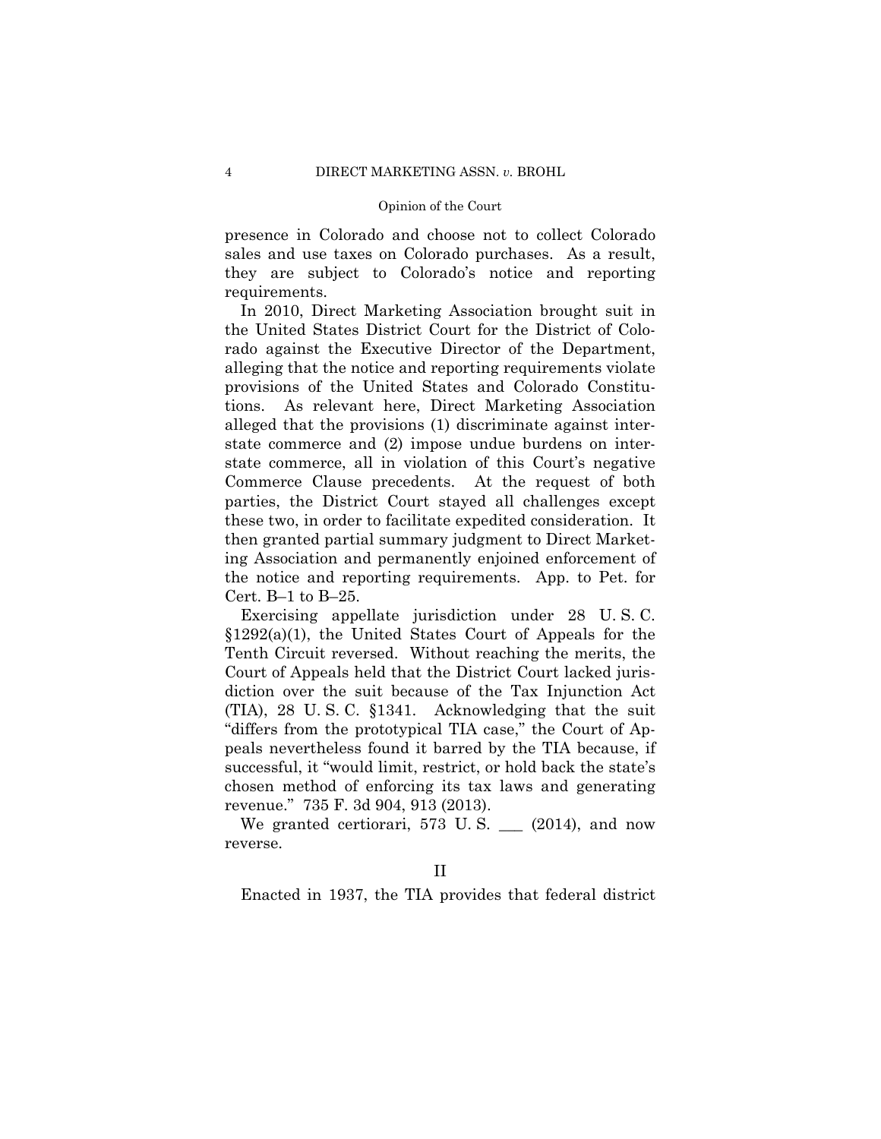they are subject to Colorado's notice and reporting presence in Colorado and choose not to collect Colorado sales and use taxes on Colorado purchases. As a result, requirements.

In 2010, Direct Marketing Association brought suit in the United States District Court for the District of Colorado against the Executive Director of the Department, alleging that the notice and reporting requirements violate provisions of the United States and Colorado Constitutions. As relevant here, Direct Marketing Association alleged that the provisions (1) discriminate against interstate commerce and (2) impose undue burdens on interstate commerce, all in violation of this Court's negative Commerce Clause precedents. At the request of both parties, the District Court stayed all challenges except these two, in order to facilitate expedited consideration. It then granted partial summary judgment to Direct Marketing Association and permanently enjoined enforcement of the notice and reporting requirements. App. to Pet. for Cert.  $B-1$  to  $B-25$ .

Exercising appellate jurisdiction under 28 U. S. C. §1292(a)(1), the United States Court of Appeals for the Tenth Circuit reversed. Without reaching the merits, the Court of Appeals held that the District Court lacked jurisdiction over the suit because of the Tax Injunction Act (TIA), 28 U. S. C. §1341. Acknowledging that the suit "differs from the prototypical TIA case," the Court of Appeals nevertheless found it barred by the TIA because, if successful, it "would limit, restrict, or hold back the state's chosen method of enforcing its tax laws and generating revenue." 735 F. 3d 904, 913 (2013).

We granted certiorari, 573 U.S.  $\qquad$  (2014), and now reverse.

Enacted in 1937, the TIA provides that federal district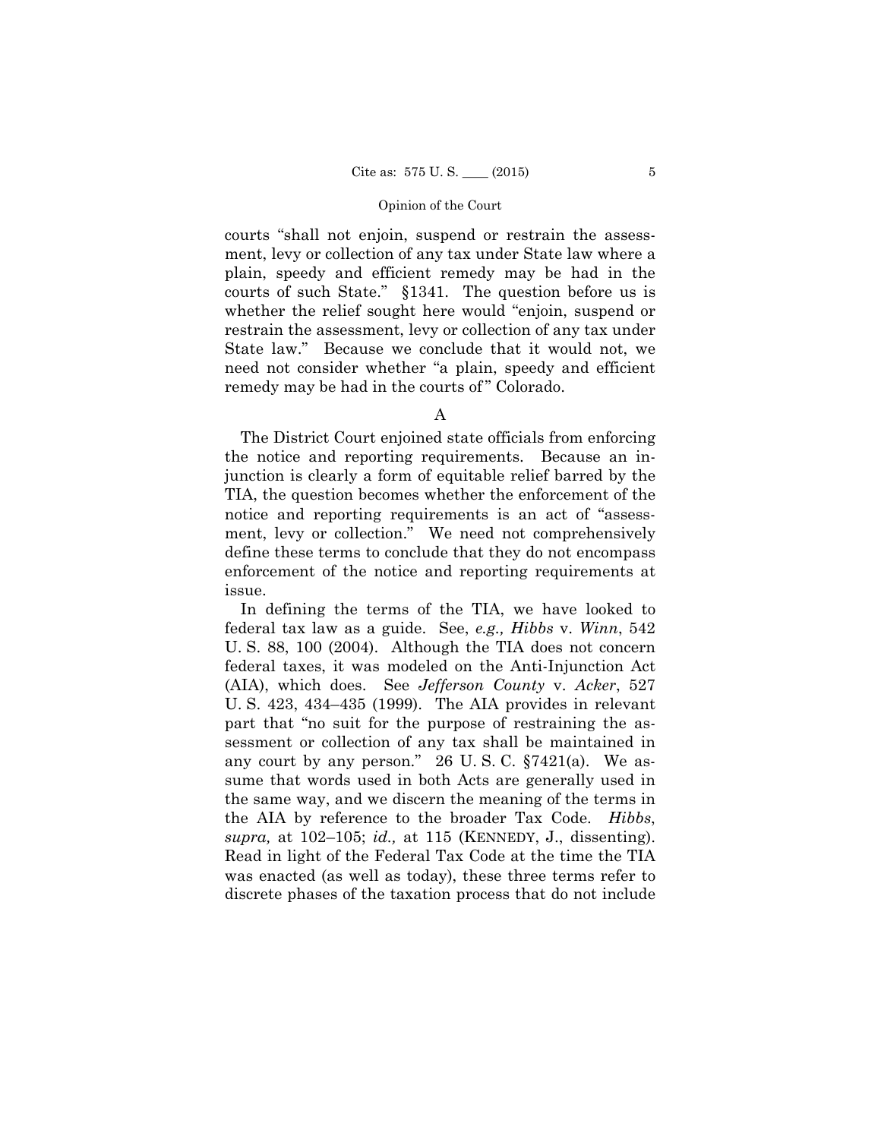courts "shall not enjoin, suspend or restrain the assessment, levy or collection of any tax under State law where a plain, speedy and efficient remedy may be had in the courts of such State." §1341. The question before us is whether the relief sought here would "enjoin, suspend or restrain the assessment, levy or collection of any tax under State law." Because we conclude that it would not, we need not consider whether "a plain, speedy and efficient remedy may be had in the courts of "Colorado.

The District Court enjoined state officials from enforcing the notice and reporting requirements. Because an injunction is clearly a form of equitable relief barred by the TIA, the question becomes whether the enforcement of the notice and reporting requirements is an act of "assessment, levy or collection." We need not comprehensively define these terms to conclude that they do not encompass enforcement of the notice and reporting requirements at issue.

 the AIA by reference to the broader Tax Code. *Hibbs*, In defining the terms of the TIA, we have looked to federal tax law as a guide. See, *e.g., Hibbs* v. *Winn*, 542 U. S. 88, 100 (2004). Although the TIA does not concern federal taxes, it was modeled on the Anti-Injunction Act (AIA), which does. See *Jefferson County* v. *Acker*, 527 U. S. 423, 434–435 (1999). The AIA provides in relevant part that "no suit for the purpose of restraining the assessment or collection of any tax shall be maintained in any court by any person." 26 U. S. C. §7421(a). We assume that words used in both Acts are generally used in the same way, and we discern the meaning of the terms in *supra,* at 102–105; *id.,* at 115 (KENNEDY, J., dissenting). Read in light of the Federal Tax Code at the time the TIA was enacted (as well as today), these three terms refer to discrete phases of the taxation process that do not include

A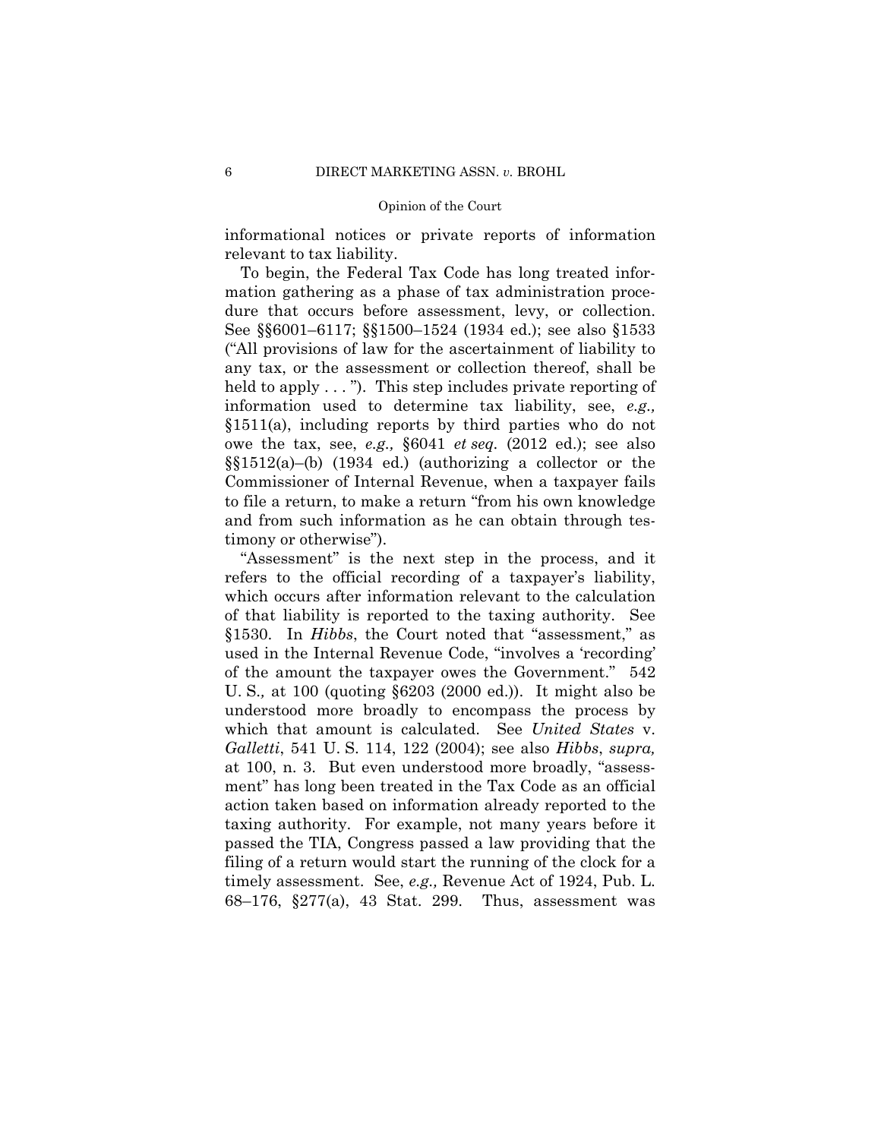informational notices or private reports of information relevant to tax liability.

To begin, the Federal Tax Code has long treated information gathering as a phase of tax administration procedure that occurs before assessment, levy, or collection. See §§6001–6117; §§1500–1524 (1934 ed.); see also §1533 ("All provisions of law for the ascertainment of liability to any tax, or the assessment or collection thereof, shall be held to apply . . . "). This step includes private reporting of information used to determine tax liability, see, *e.g.,* §1511(a), including reports by third parties who do not owe the tax, see, *e.g.,* §6041 *et seq.* (2012 ed.); see also §§1512(a)–(b) (1934 ed.) (authorizing a collector or the Commissioner of Internal Revenue, when a taxpayer fails to file a return, to make a return "from his own knowledge and from such information as he can obtain through testimony or otherwise").

"Assessment" is the next step in the process, and it refers to the official recording of a taxpayer's liability, which occurs after information relevant to the calculation of that liability is reported to the taxing authority. See §1530. In *Hibbs*, the Court noted that "assessment," as used in the Internal Revenue Code, "involves a 'recording' of the amount the taxpayer owes the Government." 542 U. S.*,* at 100 (quoting §6203 (2000 ed.)). It might also be understood more broadly to encompass the process by which that amount is calculated. See *United States* v. *Galletti*, 541 U. S. 114, 122 (2004); see also *Hibbs*, *supra,*  at 100, n. 3. But even understood more broadly, "assessment" has long been treated in the Tax Code as an official action taken based on information already reported to the taxing authority. For example, not many years before it passed the TIA, Congress passed a law providing that the filing of a return would start the running of the clock for a timely assessment. See, *e.g.,* Revenue Act of 1924, Pub. L. 68–176, §277(a), 43 Stat. 299. Thus, assessment was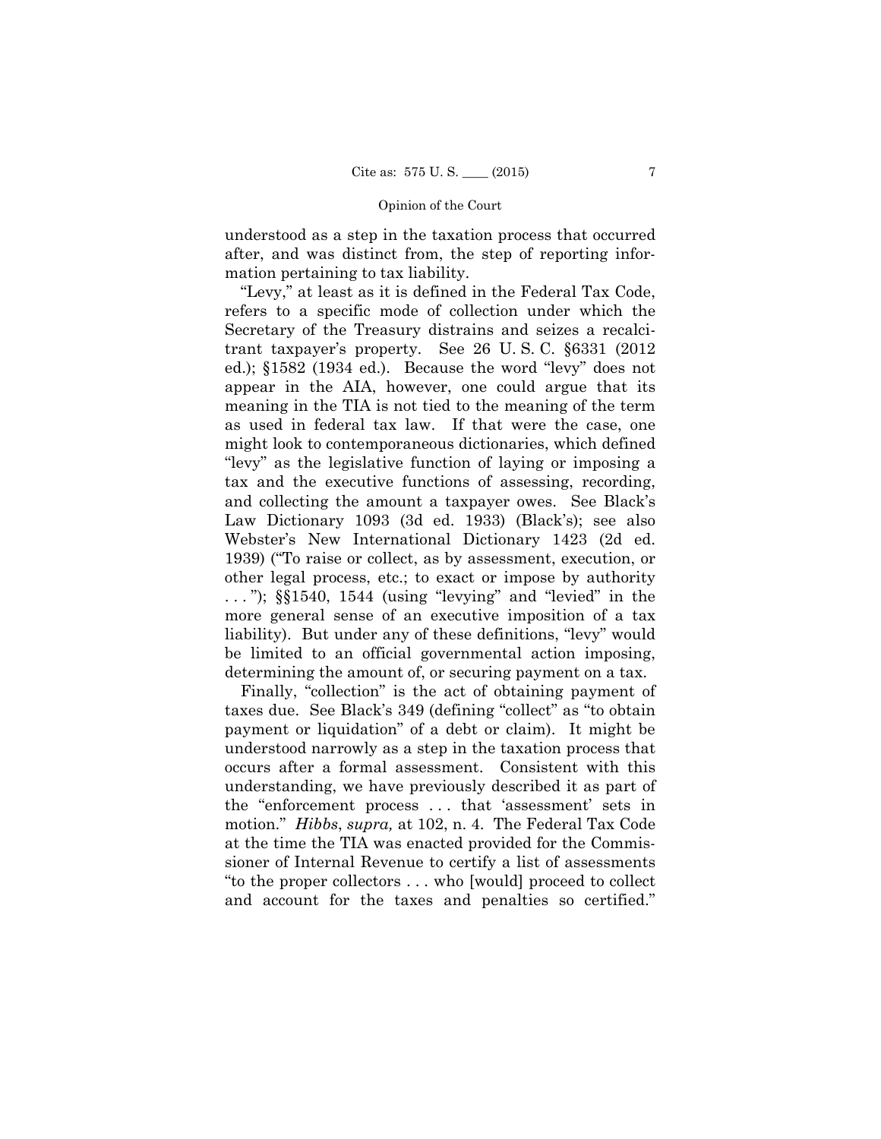understood as a step in the taxation process that occurred after, and was distinct from, the step of reporting information pertaining to tax liability.

"Levy," at least as it is defined in the Federal Tax Code, refers to a specific mode of collection under which the Secretary of the Treasury distrains and seizes a recalcitrant taxpayer's property. See 26 U. S. C. §6331 (2012 ed.); §1582 (1934 ed.). Because the word "levy" does not appear in the AIA, however, one could argue that its meaning in the TIA is not tied to the meaning of the term as used in federal tax law. If that were the case, one might look to contemporaneous dictionaries, which defined "levy" as the legislative function of laying or imposing a tax and the executive functions of assessing, recording, and collecting the amount a taxpayer owes. See Black's Law Dictionary 1093 (3d ed. 1933) (Black's); see also Webster's New International Dictionary 1423 (2d ed. 1939) ("To raise or collect, as by assessment, execution, or other legal process, etc.; to exact or impose by authority  $\ldots$ ");  $\S$  $1540$ ,  $1544$  (using "levying" and "levied" in the more general sense of an executive imposition of a tax liability). But under any of these definitions, "levy" would be limited to an official governmental action imposing, determining the amount of, or securing payment on a tax.

Finally, "collection" is the act of obtaining payment of taxes due. See Black's 349 (defining "collect" as "to obtain payment or liquidation" of a debt or claim). It might be understood narrowly as a step in the taxation process that occurs after a formal assessment. Consistent with this understanding, we have previously described it as part of the "enforcement process . . . that 'assessment' sets in motion." *Hibbs*, *supra,* at 102, n. 4. The Federal Tax Code at the time the TIA was enacted provided for the Commissioner of Internal Revenue to certify a list of assessments "to the proper collectors . . . who [would] proceed to collect and account for the taxes and penalties so certified."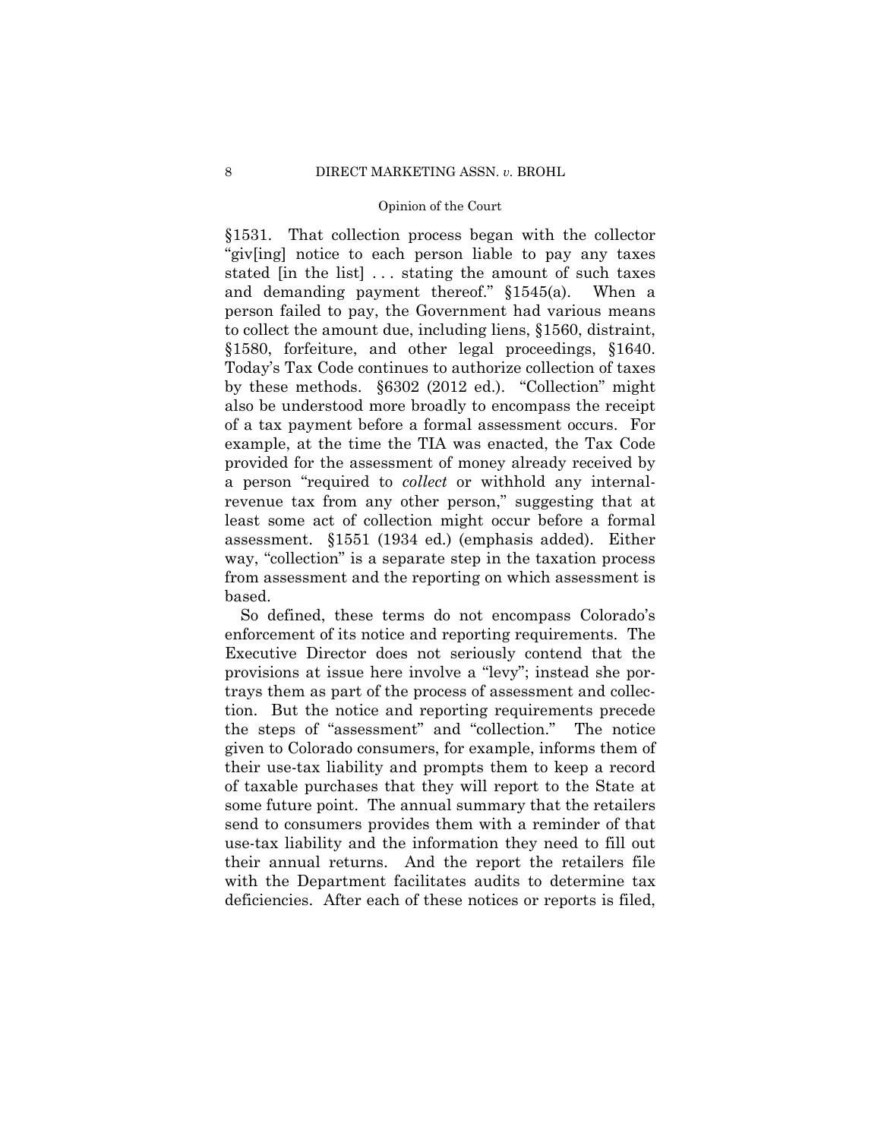§1580, forfeiture, and other legal proceedings, §1640. §1531. That collection process began with the collector "giv[ing] notice to each person liable to pay any taxes stated [in the list] ... stating the amount of such taxes and demanding payment thereof." §1545(a). When a person failed to pay, the Government had various means to collect the amount due, including liens, §1560, distraint, Today's Tax Code continues to authorize collection of taxes by these methods. §6302 (2012 ed.). "Collection" might also be understood more broadly to encompass the receipt of a tax payment before a formal assessment occurs. For example, at the time the TIA was enacted, the Tax Code provided for the assessment of money already received by a person "required to *collect* or withhold any internalrevenue tax from any other person," suggesting that at least some act of collection might occur before a formal assessment. §1551 (1934 ed.) (emphasis added). Either way, "collection" is a separate step in the taxation process from assessment and the reporting on which assessment is based.

So defined, these terms do not encompass Colorado's enforcement of its notice and reporting requirements. The Executive Director does not seriously contend that the provisions at issue here involve a "levy"; instead she portrays them as part of the process of assessment and collection. But the notice and reporting requirements precede the steps of "assessment" and "collection." The notice given to Colorado consumers, for example, informs them of their use-tax liability and prompts them to keep a record of taxable purchases that they will report to the State at some future point. The annual summary that the retailers send to consumers provides them with a reminder of that use-tax liability and the information they need to fill out their annual returns. And the report the retailers file with the Department facilitates audits to determine tax deficiencies. After each of these notices or reports is filed,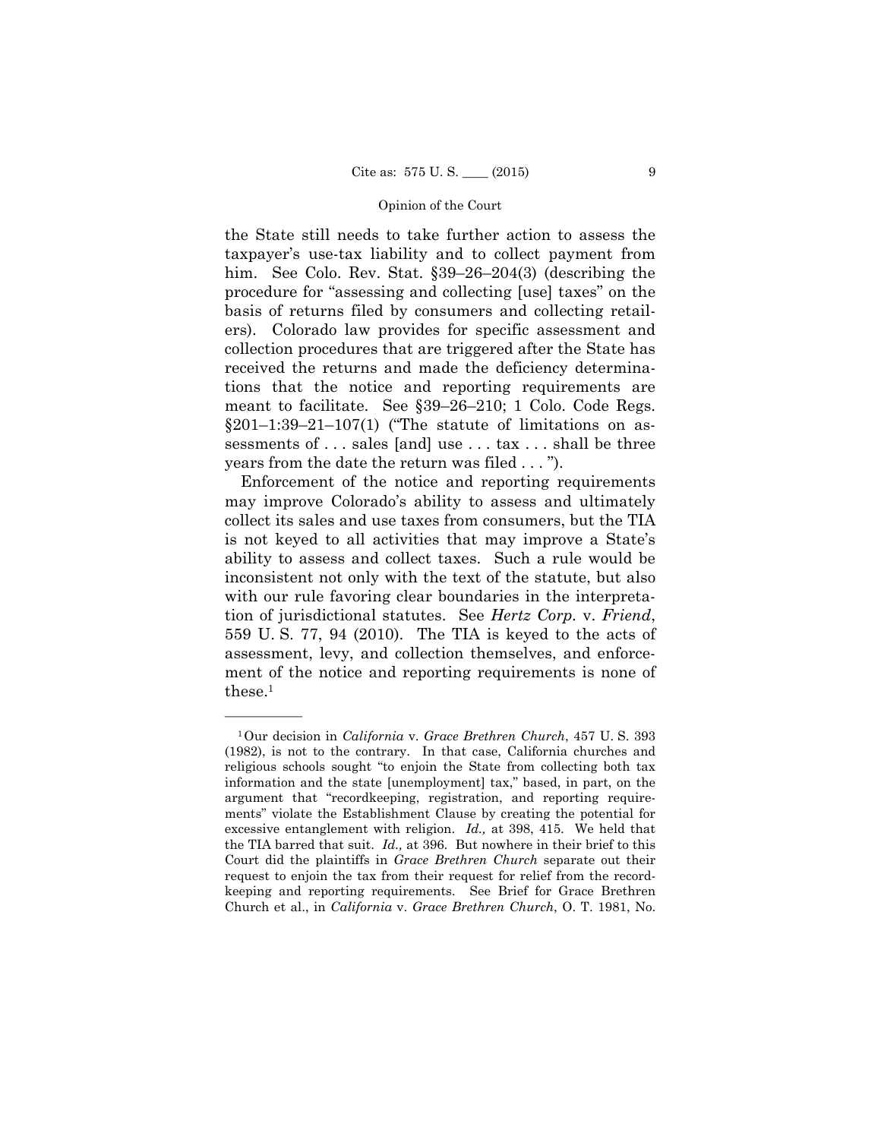the State still needs to take further action to assess the taxpayer's use-tax liability and to collect payment from him. See Colo. Rev. Stat. §39–26–204(3) (describing the procedure for "assessing and collecting [use] taxes" on the basis of returns filed by consumers and collecting retailers). Colorado law provides for specific assessment and collection procedures that are triggered after the State has received the returns and made the deficiency determinations that the notice and reporting requirements are meant to facilitate. See §39–26–210; 1 Colo. Code Regs.  $§201-1:39-21-107(1)$  ("The statute of limitations on assessments of . . . sales [and] use . . . tax . . . shall be three years from the date the return was filed . . . ").

Enforcement of the notice and reporting requirements may improve Colorado's ability to assess and ultimately collect its sales and use taxes from consumers, but the TIA is not keyed to all activities that may improve a State's ability to assess and collect taxes. Such a rule would be inconsistent not only with the text of the statute, but also with our rule favoring clear boundaries in the interpretation of jurisdictional statutes. See *Hertz Corp.* v. *Friend*, 559 U. S. 77, 94 (2010). The TIA is keyed to the acts of assessment, levy, and collection themselves, and enforcement of the notice and reporting requirements is none of these.1

<sup>1</sup>Our decision in *California* v. *Grace Brethren Church*, 457 U. S. 393 (1982), is not to the contrary. In that case, California churches and religious schools sought "to enjoin the State from collecting both tax information and the state [unemployment] tax," based, in part, on the argument that "recordkeeping, registration, and reporting requirements" violate the Establishment Clause by creating the potential for excessive entanglement with religion. *Id.,* at 398, 415. We held that the TIA barred that suit. *Id.,* at 396. But nowhere in their brief to this Court did the plaintiffs in *Grace Brethren Church* separate out their request to enjoin the tax from their request for relief from the recordkeeping and reporting requirements. See Brief for Grace Brethren Church et al., in *California* v. *Grace Brethren Church*, O. T. 1981, No.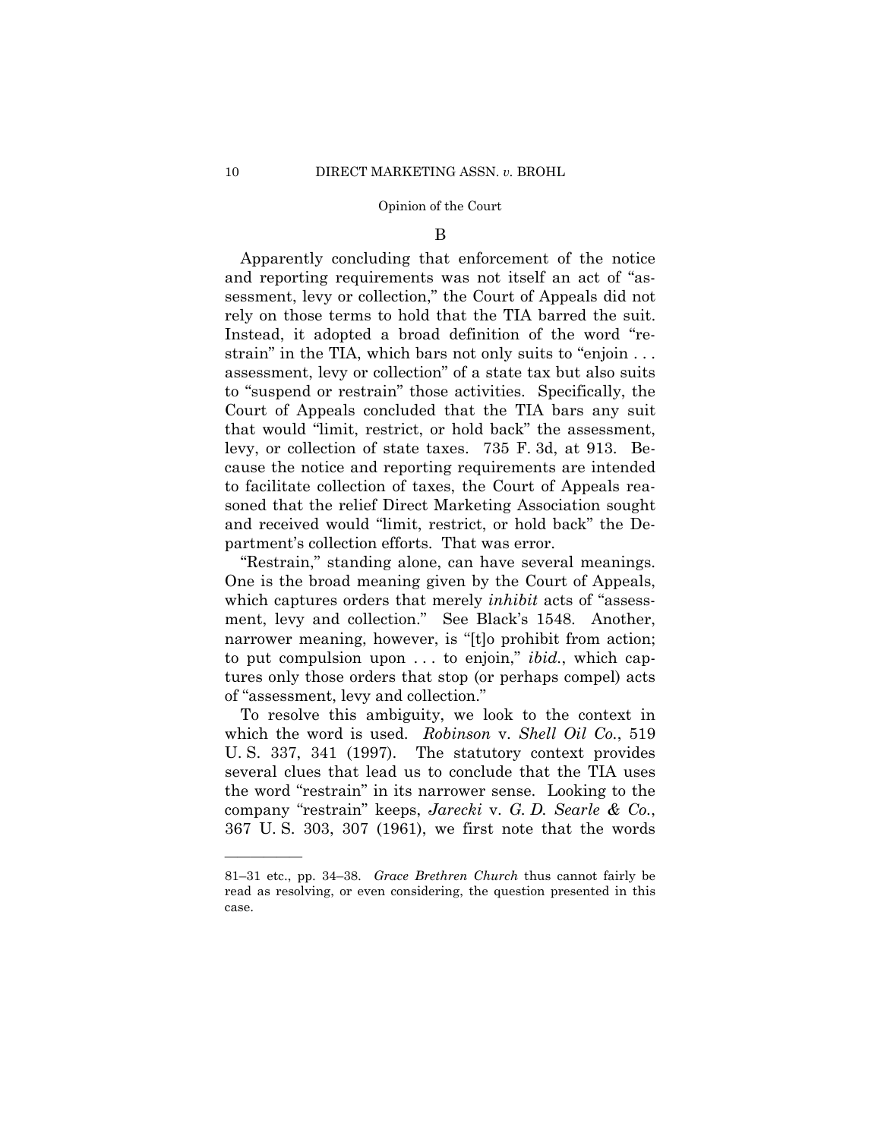#### B

 rely on those terms to hold that the TIA barred the suit. Apparently concluding that enforcement of the notice and reporting requirements was not itself an act of "assessment, levy or collection," the Court of Appeals did not Instead, it adopted a broad definition of the word "restrain" in the TIA, which bars not only suits to "enjoin . . . assessment, levy or collection" of a state tax but also suits to "suspend or restrain" those activities. Specifically, the Court of Appeals concluded that the TIA bars any suit that would "limit, restrict, or hold back" the assessment, levy, or collection of state taxes. 735 F. 3d, at 913. Because the notice and reporting requirements are intended to facilitate collection of taxes, the Court of Appeals reasoned that the relief Direct Marketing Association sought and received would "limit, restrict, or hold back" the Department's collection efforts. That was error.

"Restrain," standing alone, can have several meanings. One is the broad meaning given by the Court of Appeals, which captures orders that merely *inhibit* acts of "assessment, levy and collection." See Black's 1548. Another, narrower meaning, however, is "[t]o prohibit from action; to put compulsion upon . . . to enjoin," *ibid.*, which captures only those orders that stop (or perhaps compel) acts of "assessment, levy and collection."

To resolve this ambiguity, we look to the context in which the word is used. *Robinson* v. *Shell Oil Co.*, 519 U. S. 337, 341 (1997). The statutory context provides several clues that lead us to conclude that the TIA uses the word "restrain" in its narrower sense. Looking to the company "restrain" keeps, *Jarecki* v. *G. D. Searle & Co.*, 367 U. S. 303, 307 (1961), we first note that the words

<sup>81–31</sup> etc., pp. 34–38. *Grace Brethren Church* thus cannot fairly be read as resolving, or even considering, the question presented in this case.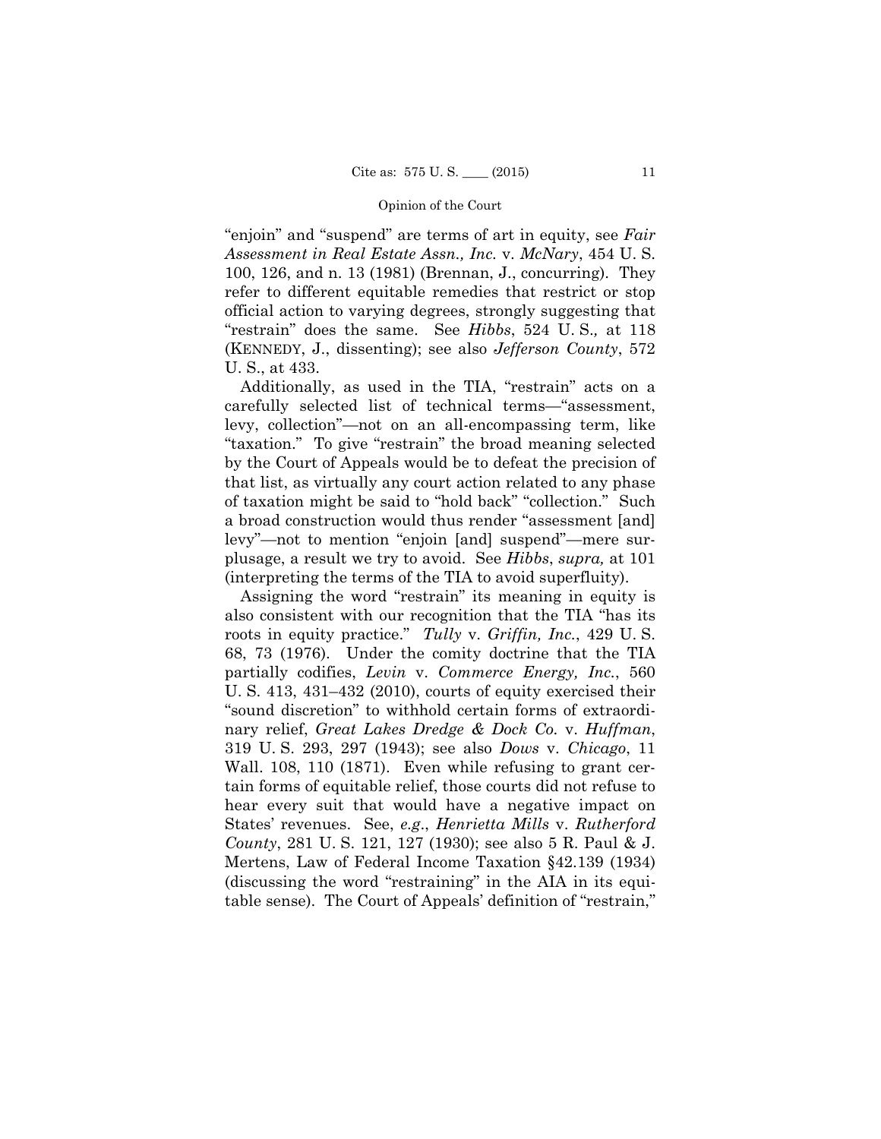"enjoin" and "suspend" are terms of art in equity, see *Fair Assessment in Real Estate Assn., Inc.* v. *McNary*, 454 U. S. 100, 126, and n. 13 (1981) (Brennan, J., concurring). They refer to different equitable remedies that restrict or stop official action to varying degrees, strongly suggesting that "restrain" does the same. See *Hibbs*, 524 U. S.*,* at 118 (KENNEDY, J., dissenting); see also *Jefferson County*, 572 U. S., at 433.

 Additionally, as used in the TIA, "restrain" acts on a carefully selected list of technical terms—"assessment, levy, collection"—not on an all-encompassing term, like "taxation." To give "restrain" the broad meaning selected by the Court of Appeals would be to defeat the precision of that list, as virtually any court action related to any phase of taxation might be said to "hold back" "collection." Such a broad construction would thus render "assessment [and] levy"—not to mention "enjoin [and] suspend"—mere surplusage, a result we try to avoid. See *Hibbs*, *supra,* at 101 (interpreting the terms of the TIA to avoid superfluity).

Assigning the word "restrain" its meaning in equity is also consistent with our recognition that the TIA "has its roots in equity practice." *Tully* v. *Griffin, Inc.*, 429 U. S. 68, 73 (1976). Under the comity doctrine that the TIA partially codifies, *Levin* v. *Commerce Energy, Inc.*, 560 U. S. 413, 431–432 (2010), courts of equity exercised their "sound discretion" to withhold certain forms of extraordinary relief, *Great Lakes Dredge & Dock Co.* v. *Huffman*, 319 U. S. 293, 297 (1943); see also *Dows* v. *Chicago*, 11 Wall. 108, 110 (1871). Even while refusing to grant certain forms of equitable relief, those courts did not refuse to hear every suit that would have a negative impact on States' revenues. See, *e.g*., *Henrietta Mills* v. *Rutherford County*, 281 U. S. 121, 127 (1930); see also 5 R. Paul & J. Mertens, Law of Federal Income Taxation §42.139 (1934) (discussing the word "restraining" in the AIA in its equitable sense). The Court of Appeals' definition of "restrain,"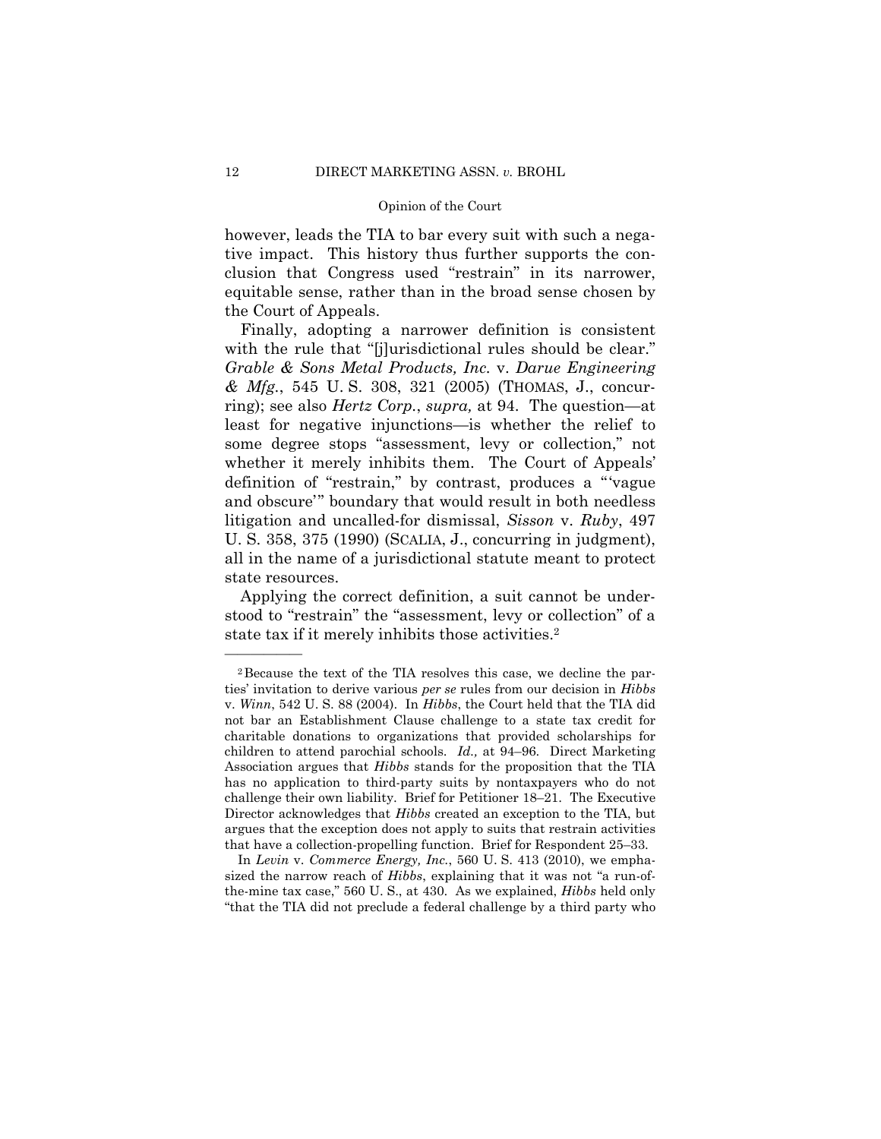however, leads the TIA to bar every suit with such a negative impact. This history thus further supports the conclusion that Congress used "restrain" in its narrower, equitable sense, rather than in the broad sense chosen by the Court of Appeals.

 U. S. 358, 375 (1990) (SCALIA, J., concurring in judgment), Finally, adopting a narrower definition is consistent with the rule that "[j]urisdictional rules should be clear." *Grable & Sons Metal Products, Inc.* v. *Darue Engineering & Mfg.*, 545 U. S. 308, 321 (2005) (THOMAS, J., concurring); see also *Hertz Corp.*, *supra,* at 94. The question—at least for negative injunctions—is whether the relief to some degree stops "assessment, levy or collection," not whether it merely inhibits them. The Court of Appeals' definition of "restrain," by contrast, produces a "'vague and obscure'" boundary that would result in both needless litigation and uncalled-for dismissal, *Sisson* v. *Ruby*, 497 all in the name of a jurisdictional statute meant to protect state resources.

Applying the correct definition, a suit cannot be understood to "restrain" the "assessment, levy or collection" of a state tax if it merely inhibits those activities.<sup>2</sup>

In *Levin* v. *Commerce Energy, Inc.*, 560 U. S. 413 (2010), we emphasized the narrow reach of *Hibbs*, explaining that it was not "a run-ofthe-mine tax case," 560 U. S., at 430. As we explained, *Hibbs* held only "that the TIA did not preclude a federal challenge by a third party who

 children to attend parochial schools. *Id.,* at 94–96. Direct Marketing challenge their own liability. Brief for Petitioner 18–21. The Executive 2Because the text of the TIA resolves this case, we decline the parties' invitation to derive various *per se* rules from our decision in *Hibbs*  v. *Winn*, 542 U. S. 88 (2004). In *Hibbs*, the Court held that the TIA did not bar an Establishment Clause challenge to a state tax credit for charitable donations to organizations that provided scholarships for Association argues that *Hibbs* stands for the proposition that the TIA has no application to third-party suits by nontaxpayers who do not Director acknowledges that *Hibbs* created an exception to the TIA, but argues that the exception does not apply to suits that restrain activities that have a collection-propelling function. Brief for Respondent 25–33.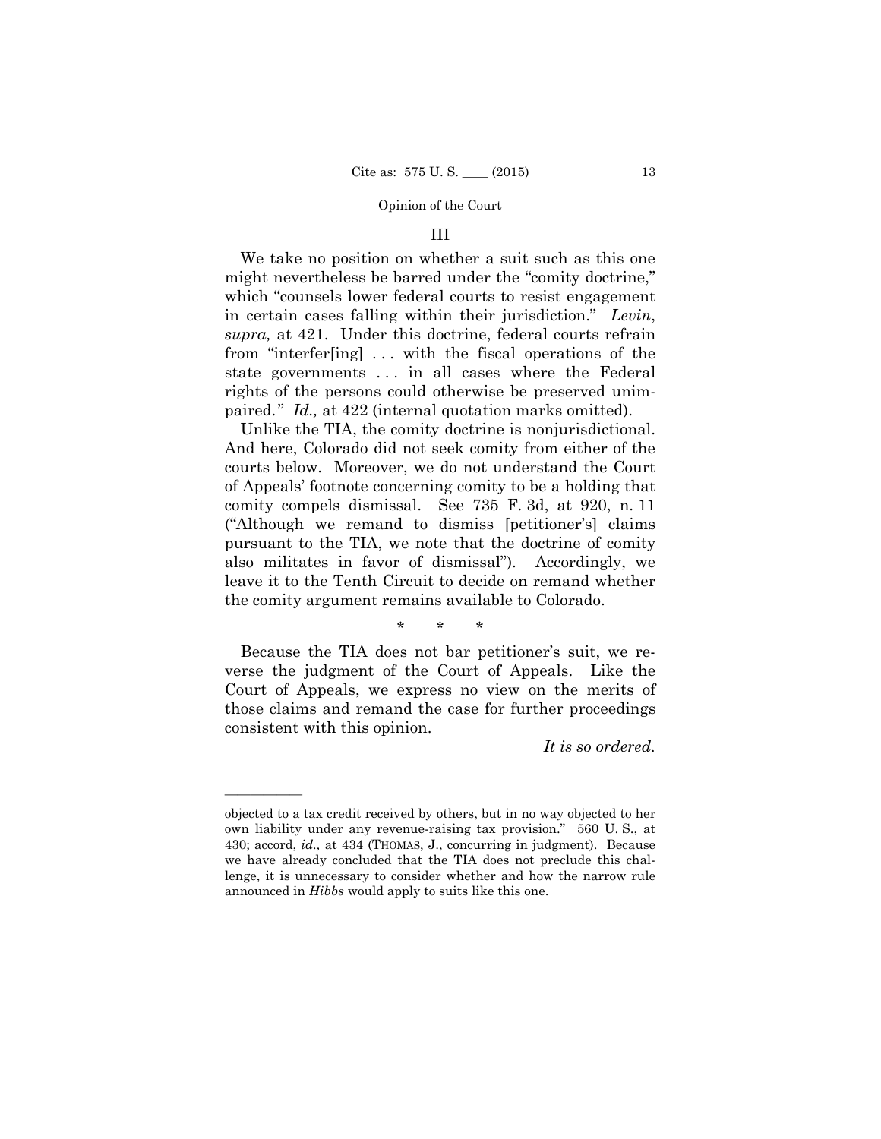## III

We take no position on whether a suit such as this one might nevertheless be barred under the "comity doctrine," which "counsels lower federal courts to resist engagement in certain cases falling within their jurisdiction." *Levin*, *supra,* at 421. Under this doctrine, federal courts refrain from "interfer[ing] . . . with the fiscal operations of the state governments . . . in all cases where the Federal rights of the persons could otherwise be preserved unimpaired." *Id.,* at 422 (internal quotation marks omitted).

 And here, Colorado did not seek comity from either of the Unlike the TIA, the comity doctrine is nonjurisdictional. courts below. Moreover, we do not understand the Court of Appeals' footnote concerning comity to be a holding that comity compels dismissal. See 735 F. 3d, at 920, n. 11 ("Although we remand to dismiss [petitioner's] claims pursuant to the TIA, we note that the doctrine of comity also militates in favor of dismissal"). Accordingly, we leave it to the Tenth Circuit to decide on remand whether the comity argument remains available to Colorado.

\* \* \*

Because the TIA does not bar petitioner's suit, we reverse the judgment of the Court of Appeals. Like the Court of Appeals, we express no view on the merits of those claims and remand the case for further proceedings consistent with this opinion.

*It is so ordered.* 

objected to a tax credit received by others, but in no way objected to her own liability under any revenue-raising tax provision." 560 U. S., at 430; accord, *id.,* at 434 (THOMAS, J., concurring in judgment). Because we have already concluded that the TIA does not preclude this challenge, it is unnecessary to consider whether and how the narrow rule announced in *Hibbs* would apply to suits like this one.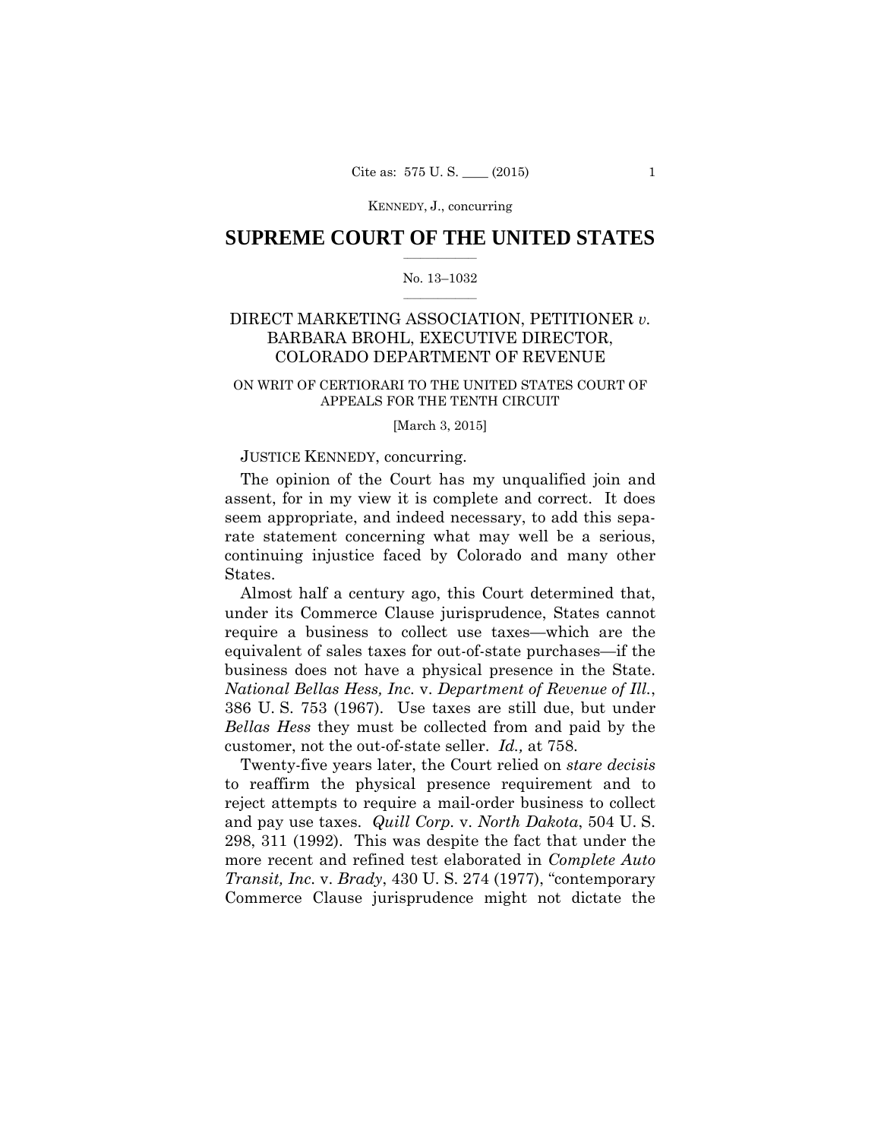## $\frac{1}{2}$  , where  $\frac{1}{2}$ **SUPREME COURT OF THE UNITED STATES**

#### $\frac{1}{2}$  ,  $\frac{1}{2}$  ,  $\frac{1}{2}$  ,  $\frac{1}{2}$  ,  $\frac{1}{2}$  ,  $\frac{1}{2}$ No. 13–1032

## DIRECT MARKETING ASSOCIATION, PETITIONER *v.*  BARBARA BROHL, EXECUTIVE DIRECTOR, COLORADO DEPARTMENT OF REVENUE

### ON WRIT OF CERTIORARI TO THE UNITED STATES COURT OF APPEALS FOR THE TENTH CIRCUIT

#### [March 3, 2015]

### JUSTICE KENNEDY, concurring.

The opinion of the Court has my unqualified join and assent, for in my view it is complete and correct. It does seem appropriate, and indeed necessary, to add this separate statement concerning what may well be a serious, continuing injustice faced by Colorado and many other States.

 business does not have a physical presence in the State. Almost half a century ago, this Court determined that, under its Commerce Clause jurisprudence, States cannot require a business to collect use taxes—which are the equivalent of sales taxes for out-of-state purchases—if the *National Bellas Hess, Inc.* v. *Department of Revenue of Ill.*, 386 U. S. 753 (1967). Use taxes are still due, but under *Bellas Hess* they must be collected from and paid by the customer, not the out-of-state seller. *Id.,* at 758.

Twenty-five years later, the Court relied on *stare decisis*  to reaffirm the physical presence requirement and to reject attempts to require a mail-order business to collect and pay use taxes. *Quill Corp.* v. *North Dakota*, 504 U. S. 298, 311 (1992). This was despite the fact that under the more recent and refined test elaborated in *Complete Auto Transit, Inc.* v. *Brady*, 430 U. S. 274 (1977), "contemporary Commerce Clause jurisprudence might not dictate the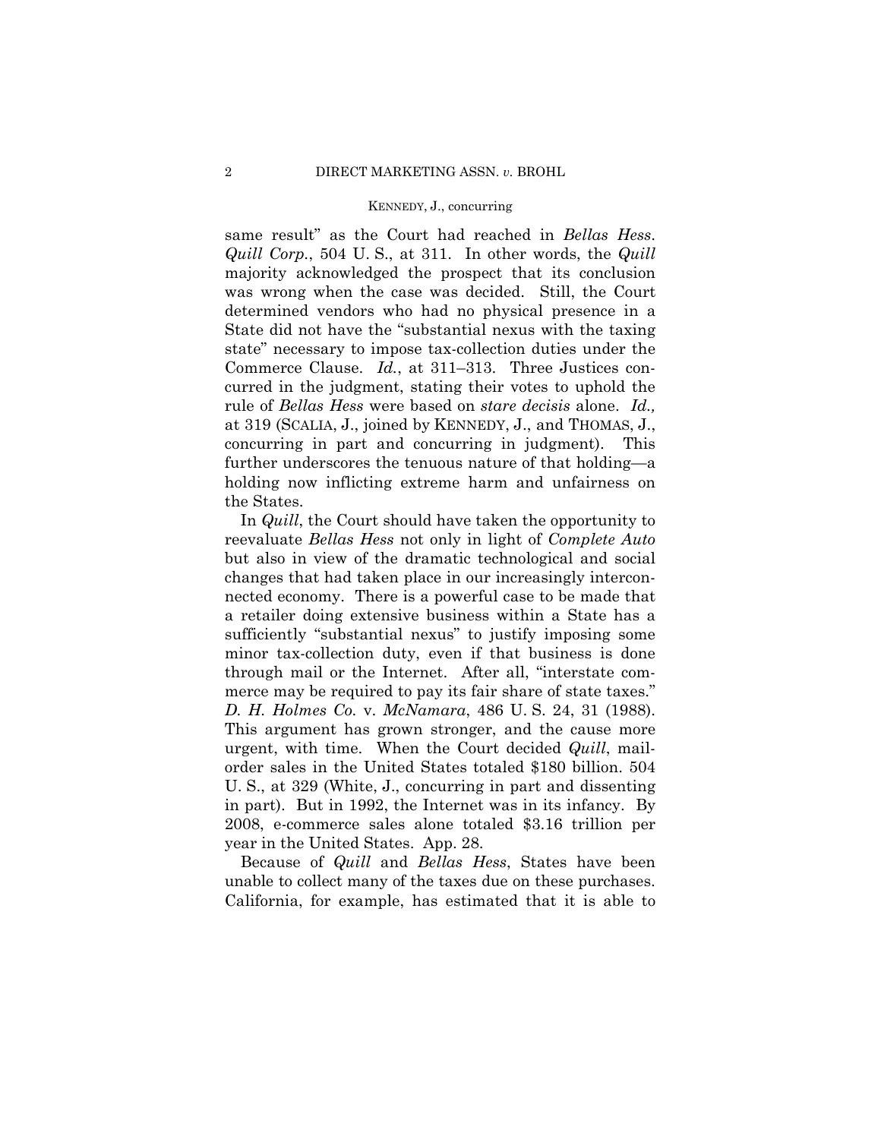same result" as the Court had reached in *Bellas Hess*. *Quill Corp.*, 504 U. S., at 311. In other words, the *Quill*  majority acknowledged the prospect that its conclusion was wrong when the case was decided. Still, the Court determined vendors who had no physical presence in a State did not have the "substantial nexus with the taxing state" necessary to impose tax-collection duties under the Commerce Clause. *Id.*, at 311–313. Three Justices concurred in the judgment, stating their votes to uphold the rule of *Bellas Hess* were based on *stare decisis* alone. *Id.,*  at 319 (SCALIA, J., joined by KENNEDY, J., and THOMAS, J., concurring in part and concurring in judgment). This further underscores the tenuous nature of that holding—a holding now inflicting extreme harm and unfairness on the States.

In *Quill*, the Court should have taken the opportunity to reevaluate *Bellas Hess* not only in light of *Complete Auto* but also in view of the dramatic technological and social changes that had taken place in our increasingly interconnected economy. There is a powerful case to be made that a retailer doing extensive business within a State has a sufficiently "substantial nexus" to justify imposing some minor tax-collection duty, even if that business is done through mail or the Internet. After all, "interstate commerce may be required to pay its fair share of state taxes." *D. H. Holmes Co.* v. *McNamara*, 486 U. S. 24, 31 (1988). This argument has grown stronger, and the cause more urgent, with time. When the Court decided *Quill*, mailorder sales in the United States totaled \$180 billion. 504 U. S., at 329 (White, J., concurring in part and dissenting in part). But in 1992, the Internet was in its infancy. By 2008, e-commerce sales alone totaled \$3.16 trillion per year in the United States. App. 28.

 unable to collect many of the taxes due on these purchases. Because of *Quill* and *Bellas Hess*, States have been California, for example, has estimated that it is able to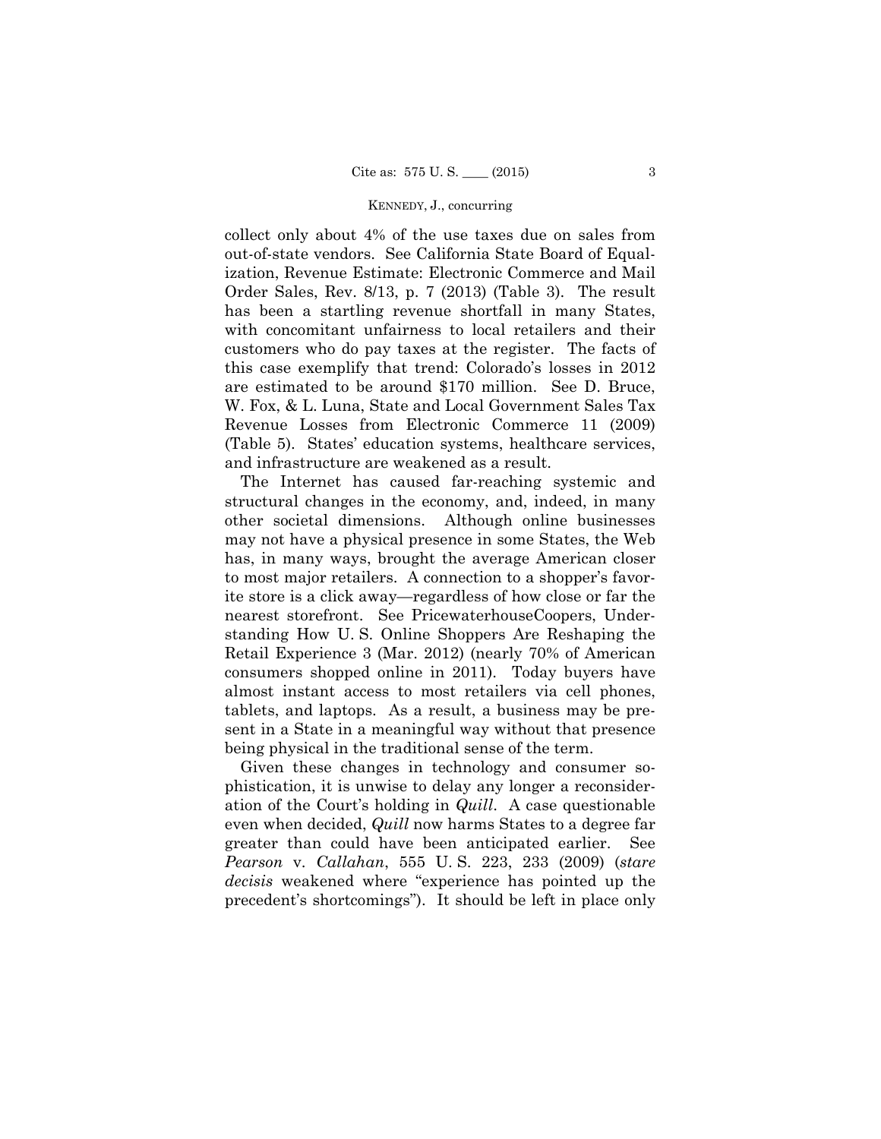collect only about 4% of the use taxes due on sales from out-of-state vendors. See California State Board of Equalization, Revenue Estimate: Electronic Commerce and Mail Order Sales, Rev. 8/13, p. 7 (2013) (Table 3). The result has been a startling revenue shortfall in many States, with concomitant unfairness to local retailers and their customers who do pay taxes at the register. The facts of this case exemplify that trend: Colorado's losses in 2012 are estimated to be around \$170 million. See D. Bruce, W. Fox, & L. Luna, State and Local Government Sales Tax Revenue Losses from Electronic Commerce 11 (2009) (Table 5). States' education systems, healthcare services, and infrastructure are weakened as a result.

The Internet has caused far-reaching systemic and structural changes in the economy, and, indeed, in many other societal dimensions. Although online businesses may not have a physical presence in some States, the Web has, in many ways, brought the average American closer to most major retailers. A connection to a shopper's favorite store is a click away—regardless of how close or far the nearest storefront. See PricewaterhouseCoopers, Understanding How U. S. Online Shoppers Are Reshaping the Retail Experience 3 (Mar. 2012) (nearly 70% of American consumers shopped online in 2011). Today buyers have almost instant access to most retailers via cell phones, tablets, and laptops. As a result, a business may be present in a State in a meaningful way without that presence being physical in the traditional sense of the term.

Given these changes in technology and consumer sophistication, it is unwise to delay any longer a reconsideration of the Court's holding in *Quill*. A case questionable even when decided, *Quill* now harms States to a degree far greater than could have been anticipated earlier. See *Pearson* v. *Callahan*, 555 U. S. 223, 233 (2009) (*stare decisis* weakened where "experience has pointed up the precedent's shortcomings"). It should be left in place only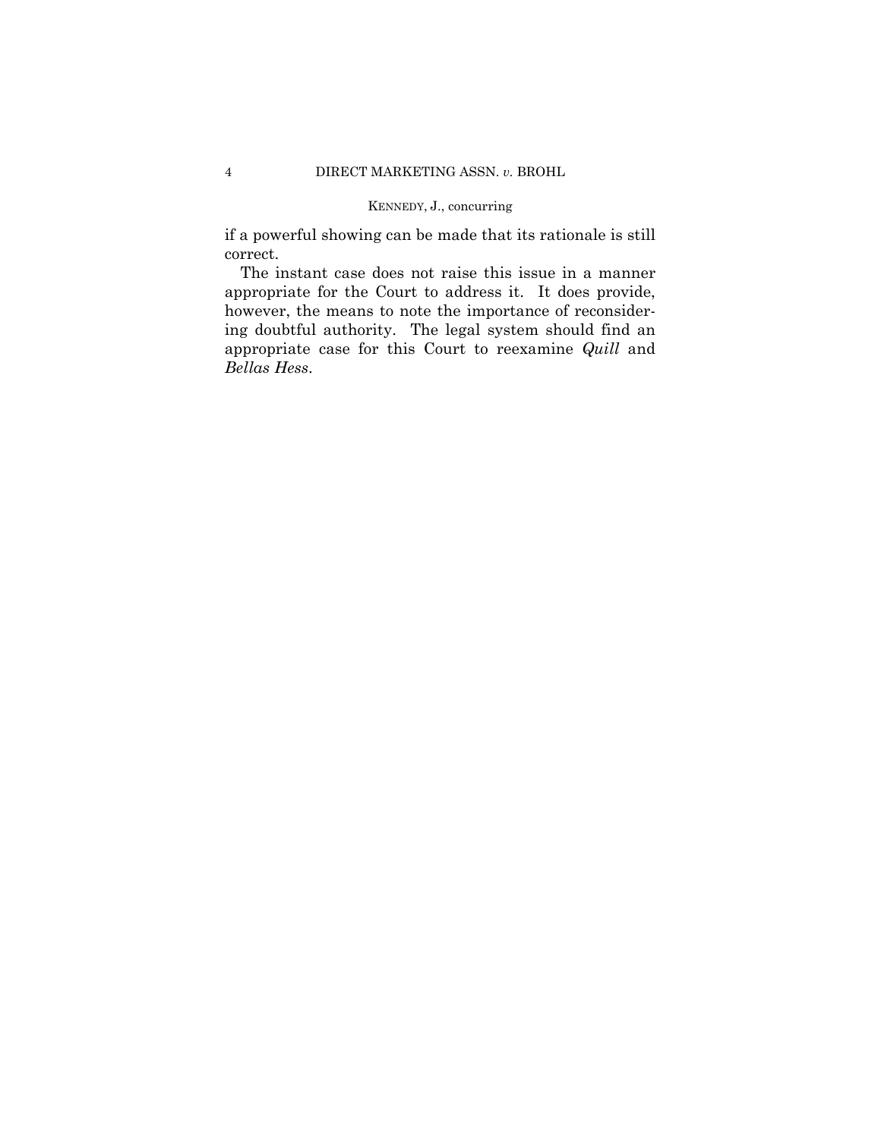if a powerful showing can be made that its rationale is still correct.

The instant case does not raise this issue in a manner appropriate for the Court to address it. It does provide, however, the means to note the importance of reconsidering doubtful authority. The legal system should find an appropriate case for this Court to reexamine *Quill* and *Bellas Hess*.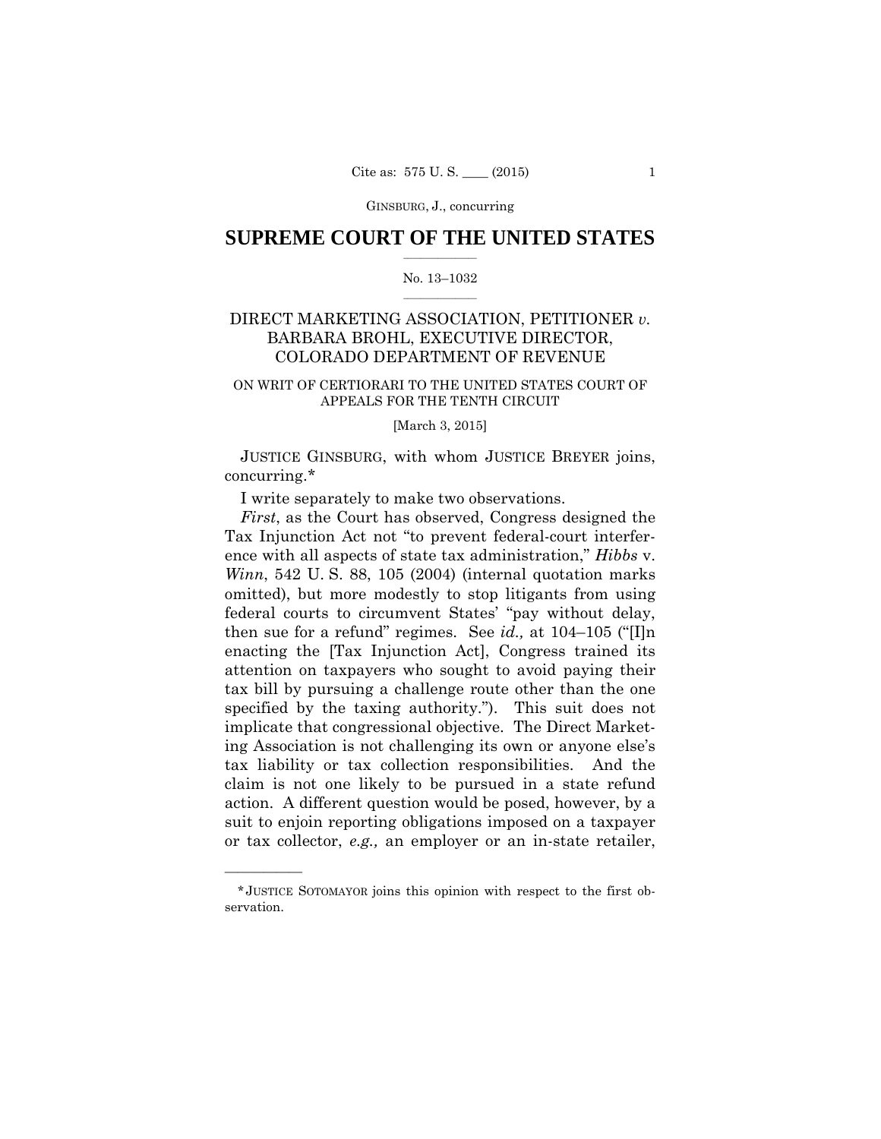GINSBURG, J., concurring

## $\frac{1}{2}$  , where  $\frac{1}{2}$ **SUPREME COURT OF THE UNITED STATES**

#### $\frac{1}{2}$  ,  $\frac{1}{2}$  ,  $\frac{1}{2}$  ,  $\frac{1}{2}$  ,  $\frac{1}{2}$  ,  $\frac{1}{2}$ No. 13–1032

## DIRECT MARKETING ASSOCIATION, PETITIONER *v.*  BARBARA BROHL, EXECUTIVE DIRECTOR, COLORADO DEPARTMENT OF REVENUE

### ON WRIT OF CERTIORARI TO THE UNITED STATES COURT OF APPEALS FOR THE TENTH CIRCUIT

### [March 3, 2015]

JUSTICE GINSBURG, with whom JUSTICE BREYER joins, concurring.\*

I write separately to make two observations.

*First*, as the Court has observed, Congress designed the Tax Injunction Act not "to prevent federal-court interference with all aspects of state tax administration," *Hibbs* v. *Winn*, 542 U. S. 88, 105 (2004) (internal quotation marks omitted), but more modestly to stop litigants from using federal courts to circumvent States' "pay without delay, then sue for a refund" regimes. See *id.,* at 104–105 ("[I]n enacting the [Tax Injunction Act], Congress trained its attention on taxpayers who sought to avoid paying their tax bill by pursuing a challenge route other than the one specified by the taxing authority."). This suit does not implicate that congressional objective. The Direct Marketing Association is not challenging its own or anyone else's tax liability or tax collection responsibilities. And the claim is not one likely to be pursued in a state refund action. A different question would be posed, however, by a suit to enjoin reporting obligations imposed on a taxpayer or tax collector, *e.g.,* an employer or an in-state retailer,

<sup>\*</sup> JUSTICE SOTOMAYOR joins this opinion with respect to the first observation.